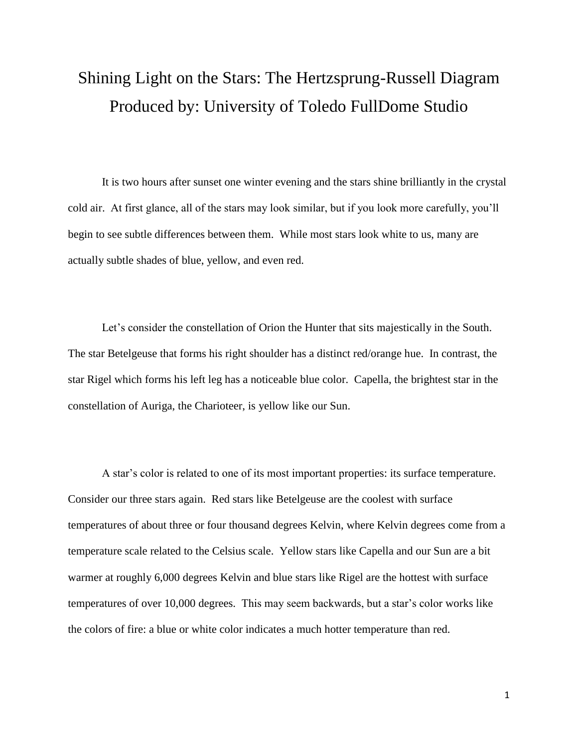## Shining Light on the Stars: The Hertzsprung-Russell Diagram Produced by: University of Toledo FullDome Studio

It is two hours after sunset one winter evening and the stars shine brilliantly in the crystal cold air. At first glance, all of the stars may look similar, but if you look more carefully, you'll begin to see subtle differences between them. While most stars look white to us, many are actually subtle shades of blue, yellow, and even red.

Let's consider the constellation of Orion the Hunter that sits majestically in the South. The star Betelgeuse that forms his right shoulder has a distinct red/orange hue. In contrast, the star Rigel which forms his left leg has a noticeable blue color. Capella, the brightest star in the constellation of Auriga, the Charioteer, is yellow like our Sun.

A star's color is related to one of its most important properties: its surface temperature. Consider our three stars again. Red stars like Betelgeuse are the coolest with surface temperatures of about three or four thousand degrees Kelvin, where Kelvin degrees come from a temperature scale related to the Celsius scale. Yellow stars like Capella and our Sun are a bit warmer at roughly 6,000 degrees Kelvin and blue stars like Rigel are the hottest with surface temperatures of over 10,000 degrees. This may seem backwards, but a star's color works like the colors of fire: a blue or white color indicates a much hotter temperature than red.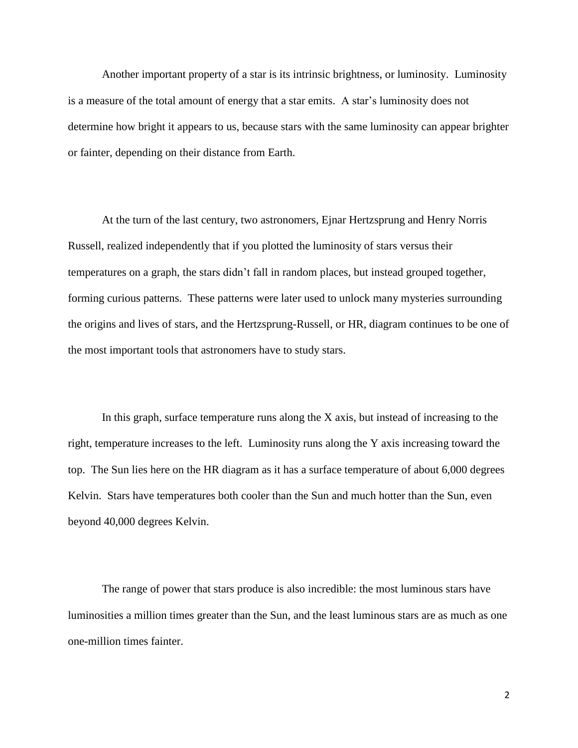Another important property of a star is its intrinsic brightness, or luminosity. Luminosity is a measure of the total amount of energy that a star emits. A star's luminosity does not determine how bright it appears to us, because stars with the same luminosity can appear brighter or fainter, depending on their distance from Earth.

At the turn of the last century, two astronomers, Ejnar Hertzsprung and Henry Norris Russell, realized independently that if you plotted the luminosity of stars versus their temperatures on a graph, the stars didn't fall in random places, but instead grouped together, forming curious patterns. These patterns were later used to unlock many mysteries surrounding the origins and lives of stars, and the Hertzsprung-Russell, or HR, diagram continues to be one of the most important tools that astronomers have to study stars.

In this graph, surface temperature runs along the X axis, but instead of increasing to the right, temperature increases to the left. Luminosity runs along the Y axis increasing toward the top. The Sun lies here on the HR diagram as it has a surface temperature of about 6,000 degrees Kelvin. Stars have temperatures both cooler than the Sun and much hotter than the Sun, even beyond 40,000 degrees Kelvin.

The range of power that stars produce is also incredible: the most luminous stars have luminosities a million times greater than the Sun, and the least luminous stars are as much as one one-million times fainter.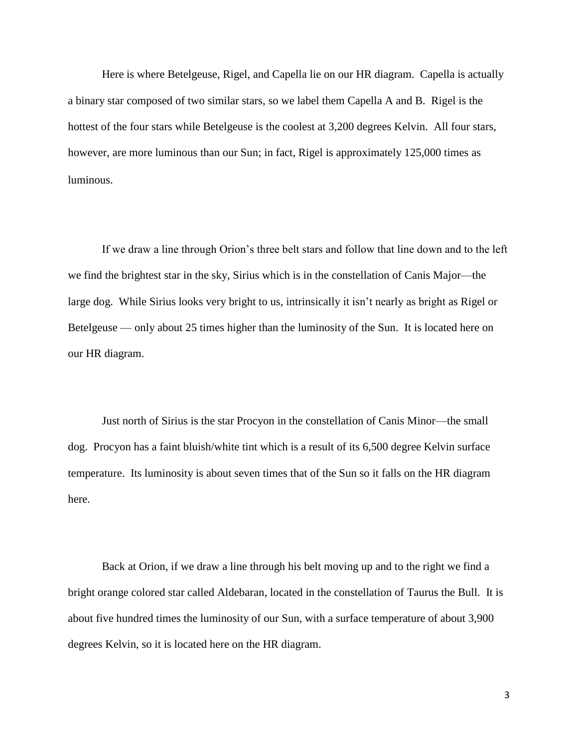Here is where Betelgeuse, Rigel, and Capella lie on our HR diagram. Capella is actually a binary star composed of two similar stars, so we label them Capella A and B. Rigel is the hottest of the four stars while Betelgeuse is the coolest at 3,200 degrees Kelvin. All four stars, however, are more luminous than our Sun; in fact, Rigel is approximately 125,000 times as luminous.

If we draw a line through Orion's three belt stars and follow that line down and to the left we find the brightest star in the sky, Sirius which is in the constellation of Canis Major—the large dog. While Sirius looks very bright to us, intrinsically it isn't nearly as bright as Rigel or Betelgeuse — only about 25 times higher than the luminosity of the Sun. It is located here on our HR diagram.

Just north of Sirius is the star Procyon in the constellation of Canis Minor—the small dog. Procyon has a faint bluish/white tint which is a result of its 6,500 degree Kelvin surface temperature. Its luminosity is about seven times that of the Sun so it falls on the HR diagram here.

Back at Orion, if we draw a line through his belt moving up and to the right we find a bright orange colored star called Aldebaran, located in the constellation of Taurus the Bull. It is about five hundred times the luminosity of our Sun, with a surface temperature of about 3,900 degrees Kelvin, so it is located here on the HR diagram.

3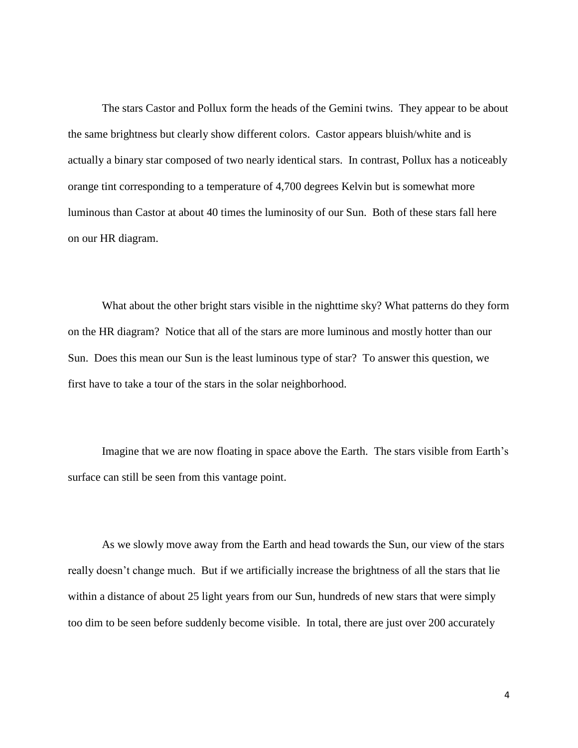The stars Castor and Pollux form the heads of the Gemini twins. They appear to be about the same brightness but clearly show different colors. Castor appears bluish/white and is actually a binary star composed of two nearly identical stars. In contrast, Pollux has a noticeably orange tint corresponding to a temperature of 4,700 degrees Kelvin but is somewhat more luminous than Castor at about 40 times the luminosity of our Sun. Both of these stars fall here on our HR diagram.

What about the other bright stars visible in the nighttime sky? What patterns do they form on the HR diagram? Notice that all of the stars are more luminous and mostly hotter than our Sun. Does this mean our Sun is the least luminous type of star? To answer this question, we first have to take a tour of the stars in the solar neighborhood.

Imagine that we are now floating in space above the Earth. The stars visible from Earth's surface can still be seen from this vantage point.

As we slowly move away from the Earth and head towards the Sun, our view of the stars really doesn't change much. But if we artificially increase the brightness of all the stars that lie within a distance of about 25 light years from our Sun, hundreds of new stars that were simply too dim to be seen before suddenly become visible. In total, there are just over 200 accurately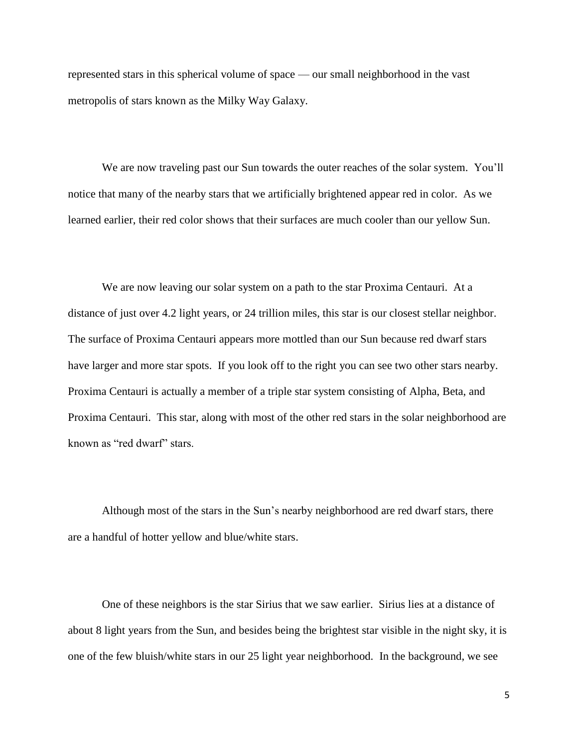represented stars in this spherical volume of space — our small neighborhood in the vast metropolis of stars known as the Milky Way Galaxy.

We are now traveling past our Sun towards the outer reaches of the solar system. You'll notice that many of the nearby stars that we artificially brightened appear red in color. As we learned earlier, their red color shows that their surfaces are much cooler than our yellow Sun.

We are now leaving our solar system on a path to the star Proxima Centauri. At a distance of just over 4.2 light years, or 24 trillion miles, this star is our closest stellar neighbor. The surface of Proxima Centauri appears more mottled than our Sun because red dwarf stars have larger and more star spots. If you look off to the right you can see two other stars nearby. Proxima Centauri is actually a member of a triple star system consisting of Alpha, Beta, and Proxima Centauri. This star, along with most of the other red stars in the solar neighborhood are known as "red dwarf" stars.

Although most of the stars in the Sun's nearby neighborhood are red dwarf stars, there are a handful of hotter yellow and blue/white stars.

One of these neighbors is the star Sirius that we saw earlier. Sirius lies at a distance of about 8 light years from the Sun, and besides being the brightest star visible in the night sky, it is one of the few bluish/white stars in our 25 light year neighborhood. In the background, we see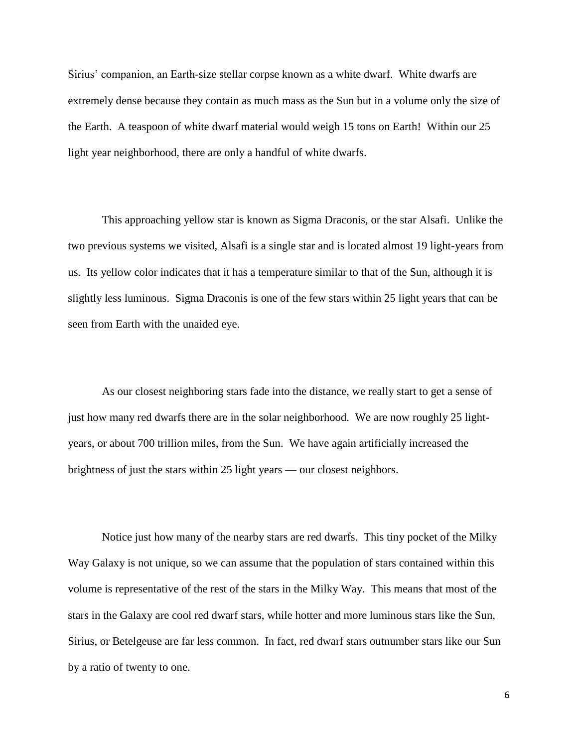Sirius' companion, an Earth-size stellar corpse known as a white dwarf. White dwarfs are extremely dense because they contain as much mass as the Sun but in a volume only the size of the Earth. A teaspoon of white dwarf material would weigh 15 tons on Earth! Within our 25 light year neighborhood, there are only a handful of white dwarfs.

This approaching yellow star is known as Sigma Draconis, or the star Alsafi. Unlike the two previous systems we visited, Alsafi is a single star and is located almost 19 light-years from us. Its yellow color indicates that it has a temperature similar to that of the Sun, although it is slightly less luminous. Sigma Draconis is one of the few stars within 25 light years that can be seen from Earth with the unaided eye.

As our closest neighboring stars fade into the distance, we really start to get a sense of just how many red dwarfs there are in the solar neighborhood. We are now roughly 25 lightyears, or about 700 trillion miles, from the Sun. We have again artificially increased the brightness of just the stars within 25 light years — our closest neighbors.

Notice just how many of the nearby stars are red dwarfs. This tiny pocket of the Milky Way Galaxy is not unique, so we can assume that the population of stars contained within this volume is representative of the rest of the stars in the Milky Way. This means that most of the stars in the Galaxy are cool red dwarf stars, while hotter and more luminous stars like the Sun, Sirius, or Betelgeuse are far less common. In fact, red dwarf stars outnumber stars like our Sun by a ratio of twenty to one.